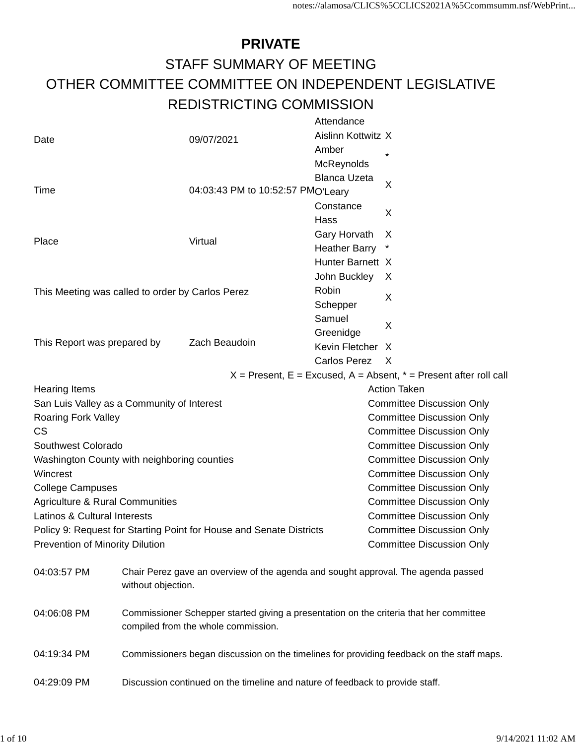#### **PRIVATE** STAFF SUMMARY OF MEETING OTHER COMMITTEE COMMITTEE ON INDEPENDENT LEGISLATIVE REDISTRICTING COMMISSION

|                                                                                              |                                                                               |                                                                                                                                                                                                               | Attendance                          |                                                                                                                       |                                                                                                           |                                                                                                          |  |                     |                                                                                                                                                                                                                                                                                                                                                                                                                                                                                                                                                                                                               |
|----------------------------------------------------------------------------------------------|-------------------------------------------------------------------------------|---------------------------------------------------------------------------------------------------------------------------------------------------------------------------------------------------------------|-------------------------------------|-----------------------------------------------------------------------------------------------------------------------|-----------------------------------------------------------------------------------------------------------|----------------------------------------------------------------------------------------------------------|--|---------------------|---------------------------------------------------------------------------------------------------------------------------------------------------------------------------------------------------------------------------------------------------------------------------------------------------------------------------------------------------------------------------------------------------------------------------------------------------------------------------------------------------------------------------------------------------------------------------------------------------------------|
|                                                                                              |                                                                               |                                                                                                                                                                                                               |                                     |                                                                                                                       |                                                                                                           |                                                                                                          |  |                     |                                                                                                                                                                                                                                                                                                                                                                                                                                                                                                                                                                                                               |
|                                                                                              |                                                                               |                                                                                                                                                                                                               | Amber                               |                                                                                                                       |                                                                                                           |                                                                                                          |  |                     |                                                                                                                                                                                                                                                                                                                                                                                                                                                                                                                                                                                                               |
|                                                                                              |                                                                               |                                                                                                                                                                                                               |                                     |                                                                                                                       |                                                                                                           |                                                                                                          |  |                     |                                                                                                                                                                                                                                                                                                                                                                                                                                                                                                                                                                                                               |
|                                                                                              |                                                                               |                                                                                                                                                                                                               |                                     |                                                                                                                       |                                                                                                           |                                                                                                          |  |                     |                                                                                                                                                                                                                                                                                                                                                                                                                                                                                                                                                                                                               |
|                                                                                              |                                                                               |                                                                                                                                                                                                               |                                     |                                                                                                                       |                                                                                                           |                                                                                                          |  |                     |                                                                                                                                                                                                                                                                                                                                                                                                                                                                                                                                                                                                               |
|                                                                                              |                                                                               |                                                                                                                                                                                                               | Constance                           |                                                                                                                       |                                                                                                           |                                                                                                          |  |                     |                                                                                                                                                                                                                                                                                                                                                                                                                                                                                                                                                                                                               |
|                                                                                              |                                                                               |                                                                                                                                                                                                               | Hass                                |                                                                                                                       |                                                                                                           |                                                                                                          |  |                     |                                                                                                                                                                                                                                                                                                                                                                                                                                                                                                                                                                                                               |
|                                                                                              |                                                                               |                                                                                                                                                                                                               |                                     |                                                                                                                       |                                                                                                           |                                                                                                          |  |                     |                                                                                                                                                                                                                                                                                                                                                                                                                                                                                                                                                                                                               |
|                                                                                              |                                                                               |                                                                                                                                                                                                               |                                     |                                                                                                                       |                                                                                                           |                                                                                                          |  |                     |                                                                                                                                                                                                                                                                                                                                                                                                                                                                                                                                                                                                               |
|                                                                                              |                                                                               |                                                                                                                                                                                                               |                                     |                                                                                                                       |                                                                                                           |                                                                                                          |  |                     |                                                                                                                                                                                                                                                                                                                                                                                                                                                                                                                                                                                                               |
|                                                                                              |                                                                               |                                                                                                                                                                                                               |                                     |                                                                                                                       |                                                                                                           |                                                                                                          |  |                     |                                                                                                                                                                                                                                                                                                                                                                                                                                                                                                                                                                                                               |
|                                                                                              |                                                                               |                                                                                                                                                                                                               | Robin                               |                                                                                                                       |                                                                                                           |                                                                                                          |  |                     |                                                                                                                                                                                                                                                                                                                                                                                                                                                                                                                                                                                                               |
|                                                                                              |                                                                               |                                                                                                                                                                                                               | Schepper                            |                                                                                                                       |                                                                                                           |                                                                                                          |  |                     |                                                                                                                                                                                                                                                                                                                                                                                                                                                                                                                                                                                                               |
|                                                                                              |                                                                               |                                                                                                                                                                                                               | Samuel                              |                                                                                                                       |                                                                                                           |                                                                                                          |  |                     |                                                                                                                                                                                                                                                                                                                                                                                                                                                                                                                                                                                                               |
|                                                                                              |                                                                               |                                                                                                                                                                                                               |                                     |                                                                                                                       |                                                                                                           |                                                                                                          |  |                     |                                                                                                                                                                                                                                                                                                                                                                                                                                                                                                                                                                                                               |
| This Report was prepared by                                                                  |                                                                               |                                                                                                                                                                                                               |                                     |                                                                                                                       |                                                                                                           |                                                                                                          |  |                     |                                                                                                                                                                                                                                                                                                                                                                                                                                                                                                                                                                                                               |
|                                                                                              |                                                                               |                                                                                                                                                                                                               |                                     |                                                                                                                       |                                                                                                           |                                                                                                          |  |                     |                                                                                                                                                                                                                                                                                                                                                                                                                                                                                                                                                                                                               |
|                                                                                              |                                                                               |                                                                                                                                                                                                               |                                     |                                                                                                                       |                                                                                                           |                                                                                                          |  |                     |                                                                                                                                                                                                                                                                                                                                                                                                                                                                                                                                                                                                               |
|                                                                                              |                                                                               |                                                                                                                                                                                                               |                                     |                                                                                                                       |                                                                                                           |                                                                                                          |  |                     |                                                                                                                                                                                                                                                                                                                                                                                                                                                                                                                                                                                                               |
|                                                                                              |                                                                               |                                                                                                                                                                                                               |                                     |                                                                                                                       |                                                                                                           |                                                                                                          |  |                     |                                                                                                                                                                                                                                                                                                                                                                                                                                                                                                                                                                                                               |
|                                                                                              |                                                                               |                                                                                                                                                                                                               |                                     |                                                                                                                       |                                                                                                           |                                                                                                          |  |                     |                                                                                                                                                                                                                                                                                                                                                                                                                                                                                                                                                                                                               |
|                                                                                              |                                                                               |                                                                                                                                                                                                               |                                     |                                                                                                                       |                                                                                                           |                                                                                                          |  |                     |                                                                                                                                                                                                                                                                                                                                                                                                                                                                                                                                                                                                               |
| Southwest Colorado                                                                           |                                                                               |                                                                                                                                                                                                               |                                     |                                                                                                                       |                                                                                                           |                                                                                                          |  |                     |                                                                                                                                                                                                                                                                                                                                                                                                                                                                                                                                                                                                               |
|                                                                                              |                                                                               |                                                                                                                                                                                                               |                                     |                                                                                                                       |                                                                                                           |                                                                                                          |  |                     |                                                                                                                                                                                                                                                                                                                                                                                                                                                                                                                                                                                                               |
|                                                                                              |                                                                               |                                                                                                                                                                                                               |                                     |                                                                                                                       |                                                                                                           |                                                                                                          |  |                     |                                                                                                                                                                                                                                                                                                                                                                                                                                                                                                                                                                                                               |
|                                                                                              |                                                                               |                                                                                                                                                                                                               |                                     |                                                                                                                       |                                                                                                           |                                                                                                          |  |                     |                                                                                                                                                                                                                                                                                                                                                                                                                                                                                                                                                                                                               |
|                                                                                              |                                                                               |                                                                                                                                                                                                               |                                     | <b>Committee Discussion Only</b>                                                                                      |                                                                                                           |                                                                                                          |  |                     |                                                                                                                                                                                                                                                                                                                                                                                                                                                                                                                                                                                                               |
| Latinos & Cultural Interests                                                                 |                                                                               |                                                                                                                                                                                                               |                                     | <b>Committee Discussion Only</b>                                                                                      |                                                                                                           |                                                                                                          |  |                     |                                                                                                                                                                                                                                                                                                                                                                                                                                                                                                                                                                                                               |
|                                                                                              |                                                                               |                                                                                                                                                                                                               |                                     | <b>Committee Discussion Only</b>                                                                                      |                                                                                                           |                                                                                                          |  |                     |                                                                                                                                                                                                                                                                                                                                                                                                                                                                                                                                                                                                               |
|                                                                                              |                                                                               |                                                                                                                                                                                                               |                                     | <b>Committee Discussion Only</b>                                                                                      |                                                                                                           |                                                                                                          |  |                     |                                                                                                                                                                                                                                                                                                                                                                                                                                                                                                                                                                                                               |
|                                                                                              |                                                                               |                                                                                                                                                                                                               |                                     |                                                                                                                       |                                                                                                           |                                                                                                          |  |                     |                                                                                                                                                                                                                                                                                                                                                                                                                                                                                                                                                                                                               |
|                                                                                              |                                                                               |                                                                                                                                                                                                               |                                     |                                                                                                                       |                                                                                                           |                                                                                                          |  |                     |                                                                                                                                                                                                                                                                                                                                                                                                                                                                                                                                                                                                               |
|                                                                                              |                                                                               |                                                                                                                                                                                                               |                                     |                                                                                                                       |                                                                                                           |                                                                                                          |  |                     |                                                                                                                                                                                                                                                                                                                                                                                                                                                                                                                                                                                                               |
| 04:06:08 PM                                                                                  |                                                                               |                                                                                                                                                                                                               |                                     |                                                                                                                       |                                                                                                           |                                                                                                          |  |                     |                                                                                                                                                                                                                                                                                                                                                                                                                                                                                                                                                                                                               |
|                                                                                              |                                                                               |                                                                                                                                                                                                               |                                     |                                                                                                                       |                                                                                                           |                                                                                                          |  |                     |                                                                                                                                                                                                                                                                                                                                                                                                                                                                                                                                                                                                               |
|                                                                                              |                                                                               |                                                                                                                                                                                                               |                                     |                                                                                                                       |                                                                                                           |                                                                                                          |  |                     |                                                                                                                                                                                                                                                                                                                                                                                                                                                                                                                                                                                                               |
| 04:29:09 PM<br>Discussion continued on the timeline and nature of feedback to provide staff. |                                                                               |                                                                                                                                                                                                               |                                     |                                                                                                                       |                                                                                                           |                                                                                                          |  |                     |                                                                                                                                                                                                                                                                                                                                                                                                                                                                                                                                                                                                               |
| Roaring Fork Valley                                                                          | <b>Agriculture &amp; Rural Communities</b><br>Prevention of Minority Dilution | 09/07/2021<br>Virtual<br>This Meeting was called to order by Carlos Perez<br>Zach Beaudoin<br>San Luis Valley as a Community of Interest<br>Washington County with neighboring counties<br>without objection. | compiled from the whole commission. | 04:03:43 PM to 10:52:57 PMO'Leary<br>Greenidge<br>Policy 9: Request for Starting Point for House and Senate Districts | McReynolds<br><b>Blanca Uzeta</b><br>Gary Horvath<br><b>Heather Barry</b><br>John Buckley<br>Carlos Perez | Aislinn Kottwitz X<br>$\star$<br>X<br>X<br>X<br>Hunter Barnett X<br>X<br>X<br>X<br>Kevin Fletcher X<br>X |  | <b>Action Taken</b> | $X =$ Present, E = Excused, A = Absent, $* =$ Present after roll call<br><b>Committee Discussion Only</b><br><b>Committee Discussion Only</b><br><b>Committee Discussion Only</b><br><b>Committee Discussion Only</b><br><b>Committee Discussion Only</b><br><b>Committee Discussion Only</b><br><b>Committee Discussion Only</b><br>Chair Perez gave an overview of the agenda and sought approval. The agenda passed<br>Commissioner Schepper started giving a presentation on the criteria that her committee<br>Commissioners began discussion on the timelines for providing feedback on the staff maps. |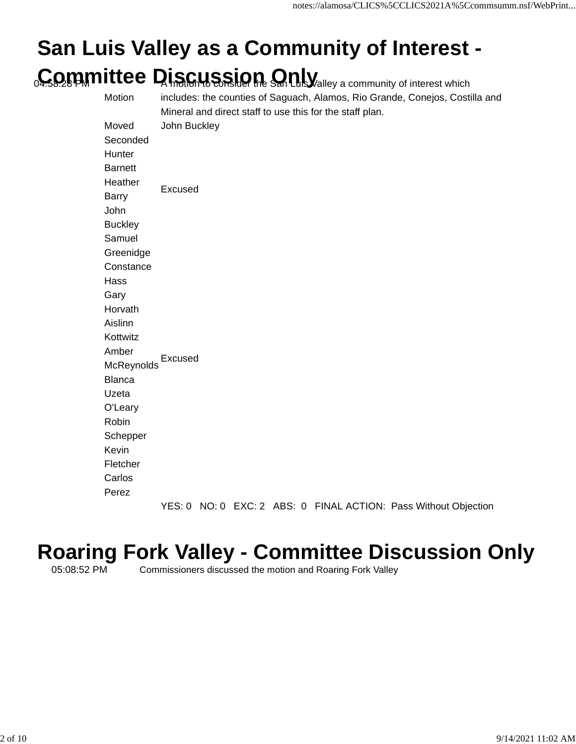### **San Luis Valley as a Community of Interest - Committee Discussion Only** a community of interest which

| Motion         |              | Mineral and direct staff to use this for the staff plan. |  |  | includes: the counties of Saguach, Alamos, Rio Grande, Conejos, Costilla and |  |
|----------------|--------------|----------------------------------------------------------|--|--|------------------------------------------------------------------------------|--|
| Moved          | John Buckley |                                                          |  |  |                                                                              |  |
| Seconded       |              |                                                          |  |  |                                                                              |  |
| Hunter         |              |                                                          |  |  |                                                                              |  |
| <b>Barnett</b> |              |                                                          |  |  |                                                                              |  |
| Heather        | Excused      |                                                          |  |  |                                                                              |  |
| <b>Barry</b>   |              |                                                          |  |  |                                                                              |  |
| John           |              |                                                          |  |  |                                                                              |  |
| <b>Buckley</b> |              |                                                          |  |  |                                                                              |  |
| Samuel         |              |                                                          |  |  |                                                                              |  |
| Greenidge      |              |                                                          |  |  |                                                                              |  |
| Constance      |              |                                                          |  |  |                                                                              |  |
| Hass           |              |                                                          |  |  |                                                                              |  |
| Gary           |              |                                                          |  |  |                                                                              |  |
| Horvath        |              |                                                          |  |  |                                                                              |  |
| Aislinn        |              |                                                          |  |  |                                                                              |  |
| Kottwitz       |              |                                                          |  |  |                                                                              |  |
| Amber          | Excused      |                                                          |  |  |                                                                              |  |
| McReynolds     |              |                                                          |  |  |                                                                              |  |
| <b>Blanca</b>  |              |                                                          |  |  |                                                                              |  |
| Uzeta          |              |                                                          |  |  |                                                                              |  |
| O'Leary        |              |                                                          |  |  |                                                                              |  |
| Robin          |              |                                                          |  |  |                                                                              |  |
| Schepper       |              |                                                          |  |  |                                                                              |  |
| Kevin          |              |                                                          |  |  |                                                                              |  |
| Fletcher       |              |                                                          |  |  |                                                                              |  |
| Carlos         |              |                                                          |  |  |                                                                              |  |
| Perez          |              |                                                          |  |  |                                                                              |  |
|                | YES:0        |                                                          |  |  | NO: 0 EXC: 2 ABS: 0 FINAL ACTION: Pass Without Objection                     |  |

# **Roaring Fork Valley - Committee Discussion Only**<br>Commissioners discussed the motion and Roaring Fork Valley

Commissioners discussed the motion and Roaring Fork Valley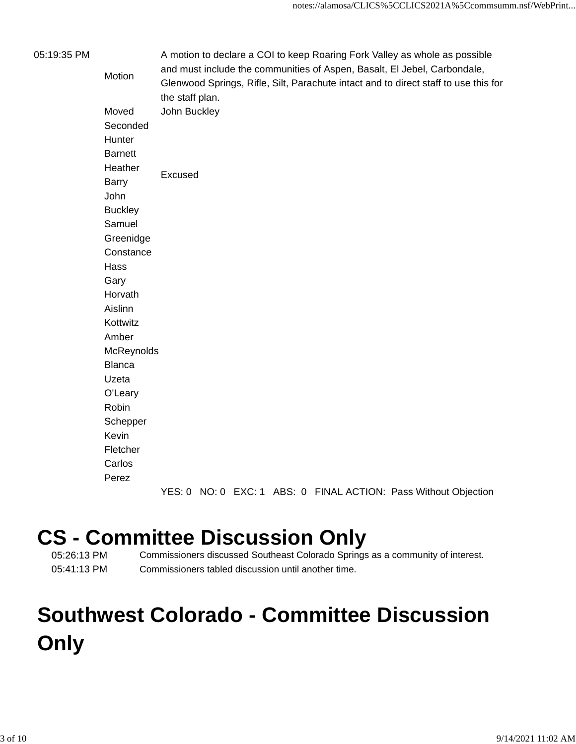| 05:19:35 PM |                          |                 |  |  | A motion to declare a COI to keep Roaring Fork Valley as whole as possible          |  |
|-------------|--------------------------|-----------------|--|--|-------------------------------------------------------------------------------------|--|
|             | Motion                   |                 |  |  | and must include the communities of Aspen, Basalt, El Jebel, Carbondale,            |  |
|             |                          |                 |  |  | Glenwood Springs, Rifle, Silt, Parachute intact and to direct staff to use this for |  |
|             |                          | the staff plan. |  |  |                                                                                     |  |
|             | Moved                    | John Buckley    |  |  |                                                                                     |  |
|             | Seconded                 |                 |  |  |                                                                                     |  |
|             | Hunter                   |                 |  |  |                                                                                     |  |
|             | <b>Barnett</b>           |                 |  |  |                                                                                     |  |
|             | Heather                  | Excused         |  |  |                                                                                     |  |
|             | Barry                    |                 |  |  |                                                                                     |  |
|             | John                     |                 |  |  |                                                                                     |  |
|             | <b>Buckley</b><br>Samuel |                 |  |  |                                                                                     |  |
|             | Greenidge                |                 |  |  |                                                                                     |  |
|             | Constance                |                 |  |  |                                                                                     |  |
|             | Hass                     |                 |  |  |                                                                                     |  |
|             | Gary                     |                 |  |  |                                                                                     |  |
|             | Horvath                  |                 |  |  |                                                                                     |  |
|             | Aislinn                  |                 |  |  |                                                                                     |  |
|             | Kottwitz                 |                 |  |  |                                                                                     |  |
|             | Amber                    |                 |  |  |                                                                                     |  |
|             | McReynolds               |                 |  |  |                                                                                     |  |
|             | <b>Blanca</b>            |                 |  |  |                                                                                     |  |
|             | Uzeta                    |                 |  |  |                                                                                     |  |
|             | O'Leary                  |                 |  |  |                                                                                     |  |
|             | Robin                    |                 |  |  |                                                                                     |  |
|             | Schepper                 |                 |  |  |                                                                                     |  |
|             | Kevin                    |                 |  |  |                                                                                     |  |
|             | Fletcher                 |                 |  |  |                                                                                     |  |
|             | Carlos                   |                 |  |  |                                                                                     |  |
|             | Perez                    |                 |  |  |                                                                                     |  |
|             |                          |                 |  |  | YES: 0 NO: 0 EXC: 1 ABS: 0 FINAL ACTION: Pass Without Objection                     |  |

# **CS - Committee Discussion Only**<br> **CS - Commissioners discussed Southeast Colorado Springs**

Commissioners discussed Southeast Colorado Springs as a community of interest. 05:41:13 PM Commissioners tabled discussion until another time.

### **Southwest Colorado - Committee Discussion Only**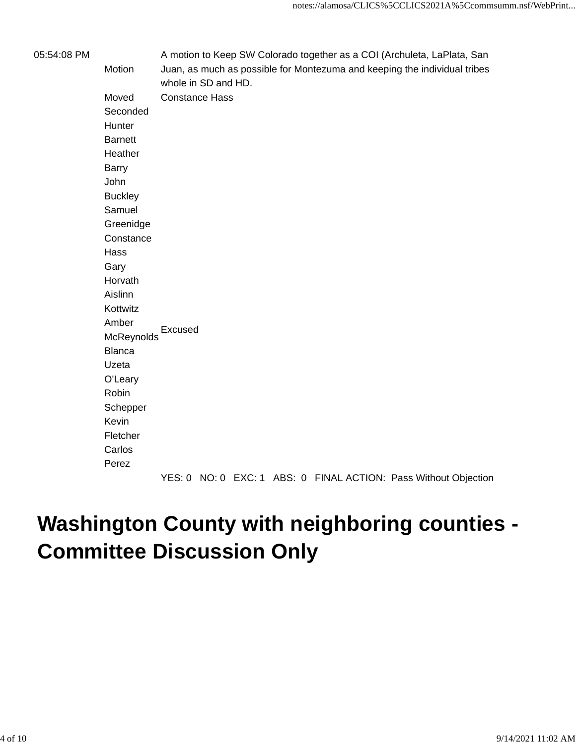| 05:54:08 PM | Motion         | whole in SD and HD.   |  |  | A motion to Keep SW Colorado together as a COI (Archuleta, LaPlata, San<br>Juan, as much as possible for Montezuma and keeping the individual tribes |
|-------------|----------------|-----------------------|--|--|------------------------------------------------------------------------------------------------------------------------------------------------------|
|             | Moved          | <b>Constance Hass</b> |  |  |                                                                                                                                                      |
|             | Seconded       |                       |  |  |                                                                                                                                                      |
|             | Hunter         |                       |  |  |                                                                                                                                                      |
|             | <b>Barnett</b> |                       |  |  |                                                                                                                                                      |
|             | Heather        |                       |  |  |                                                                                                                                                      |
|             | Barry          |                       |  |  |                                                                                                                                                      |
|             | John           |                       |  |  |                                                                                                                                                      |
|             | <b>Buckley</b> |                       |  |  |                                                                                                                                                      |
|             | Samuel         |                       |  |  |                                                                                                                                                      |
|             | Greenidge      |                       |  |  |                                                                                                                                                      |
|             | Constance      |                       |  |  |                                                                                                                                                      |
|             | Hass           |                       |  |  |                                                                                                                                                      |
|             | Gary           |                       |  |  |                                                                                                                                                      |
|             | Horvath        |                       |  |  |                                                                                                                                                      |
|             | Aislinn        |                       |  |  |                                                                                                                                                      |
|             | Kottwitz       |                       |  |  |                                                                                                                                                      |
|             | Amber          |                       |  |  |                                                                                                                                                      |
|             | McReynolds     | Excused               |  |  |                                                                                                                                                      |
|             | <b>Blanca</b>  |                       |  |  |                                                                                                                                                      |
|             | Uzeta          |                       |  |  |                                                                                                                                                      |
|             | O'Leary        |                       |  |  |                                                                                                                                                      |
|             | Robin          |                       |  |  |                                                                                                                                                      |
|             | Schepper       |                       |  |  |                                                                                                                                                      |
|             | Kevin          |                       |  |  |                                                                                                                                                      |
|             | Fletcher       |                       |  |  |                                                                                                                                                      |
|             | Carlos         |                       |  |  |                                                                                                                                                      |
|             | Perez          |                       |  |  |                                                                                                                                                      |
|             |                |                       |  |  | YES: 0 NO: 0 EXC: 1 ABS: 0 FINAL ACTION: Pass Without Objection                                                                                      |

### **Washington County with neighboring counties - Committee Discussion Only**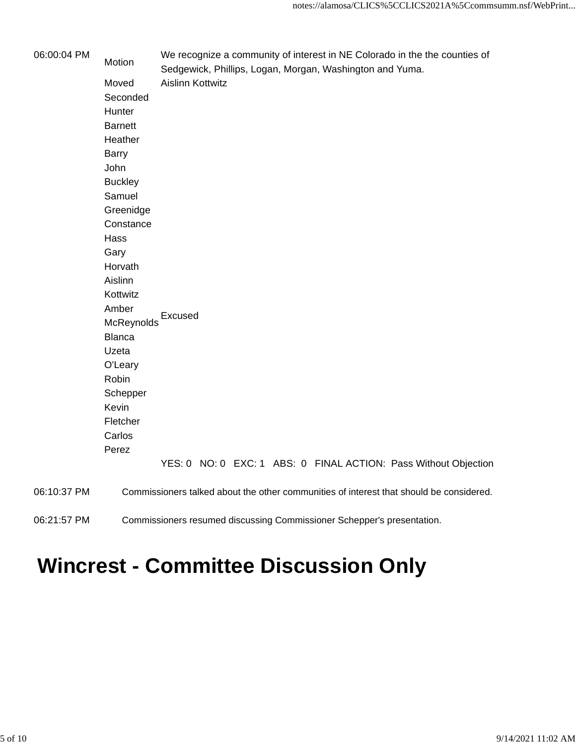| 06:00:04 PM | Motion         | We recognize a community of interest in NE Colorado in the the counties of<br>Sedgewick, Phillips, Logan, Morgan, Washington and Yuma. |  |  |  |  |  |  |
|-------------|----------------|----------------------------------------------------------------------------------------------------------------------------------------|--|--|--|--|--|--|
|             | Moved          | <b>Aislinn Kottwitz</b>                                                                                                                |  |  |  |  |  |  |
|             | Seconded       |                                                                                                                                        |  |  |  |  |  |  |
|             | Hunter         |                                                                                                                                        |  |  |  |  |  |  |
|             | <b>Barnett</b> |                                                                                                                                        |  |  |  |  |  |  |
|             | Heather        |                                                                                                                                        |  |  |  |  |  |  |
|             | <b>Barry</b>   |                                                                                                                                        |  |  |  |  |  |  |
|             | John           |                                                                                                                                        |  |  |  |  |  |  |
|             | <b>Buckley</b> |                                                                                                                                        |  |  |  |  |  |  |
|             | Samuel         |                                                                                                                                        |  |  |  |  |  |  |
|             | Greenidge      |                                                                                                                                        |  |  |  |  |  |  |
|             | Constance      |                                                                                                                                        |  |  |  |  |  |  |
|             | Hass           |                                                                                                                                        |  |  |  |  |  |  |
|             | Gary           |                                                                                                                                        |  |  |  |  |  |  |
|             | Horvath        |                                                                                                                                        |  |  |  |  |  |  |
|             | Aislinn        |                                                                                                                                        |  |  |  |  |  |  |
|             | Kottwitz       |                                                                                                                                        |  |  |  |  |  |  |
|             | Amber          | Excused                                                                                                                                |  |  |  |  |  |  |
|             | McReynolds     |                                                                                                                                        |  |  |  |  |  |  |
|             | <b>Blanca</b>  |                                                                                                                                        |  |  |  |  |  |  |
|             | Uzeta          |                                                                                                                                        |  |  |  |  |  |  |
|             | O'Leary        |                                                                                                                                        |  |  |  |  |  |  |
|             | Robin          |                                                                                                                                        |  |  |  |  |  |  |
|             | Schepper       |                                                                                                                                        |  |  |  |  |  |  |
|             | Kevin          |                                                                                                                                        |  |  |  |  |  |  |
|             | Fletcher       |                                                                                                                                        |  |  |  |  |  |  |
|             | Carlos         |                                                                                                                                        |  |  |  |  |  |  |
|             | Perez          |                                                                                                                                        |  |  |  |  |  |  |
|             |                | YES: 0 NO: 0 EXC: 1 ABS: 0 FINAL ACTION: Pass Without Objection                                                                        |  |  |  |  |  |  |
| 06:10:37 PM |                | Commissioners talked about the other communities of interest that should be considered.                                                |  |  |  |  |  |  |
| 06:21:57 PM |                | Commissioners resumed discussing Commissioner Schepper's presentation.                                                                 |  |  |  |  |  |  |

## **Wincrest - Committee Discussion Only**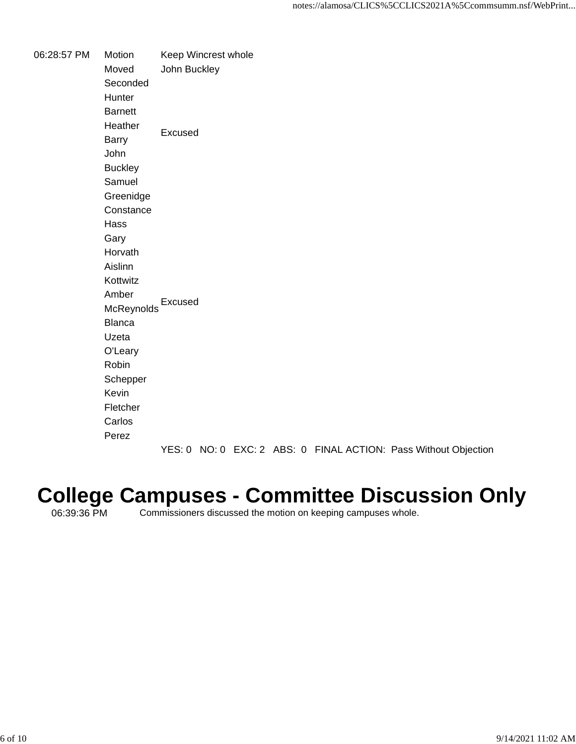06:28:57 PM Motion Keep Wincrest whole Moved John Buckley Seconded **Hunter Barnett Heather** Barry Excused John **Buckley** Samuel Greenidge **Constance** Hass Gary Horvath Aislinn Kottwitz Amber McReynolds Excused Blanca Uzeta O'Leary Robin Schepper Kevin Fletcher Carlos Perez

YES: 0 NO: 0 EXC: 2 ABS: 0 FINAL ACTION: Pass Without Objection

#### **College Campuses - Committee Discussion Only**

06:39:36 PM Commissioners discussed the motion on keeping campuses whole.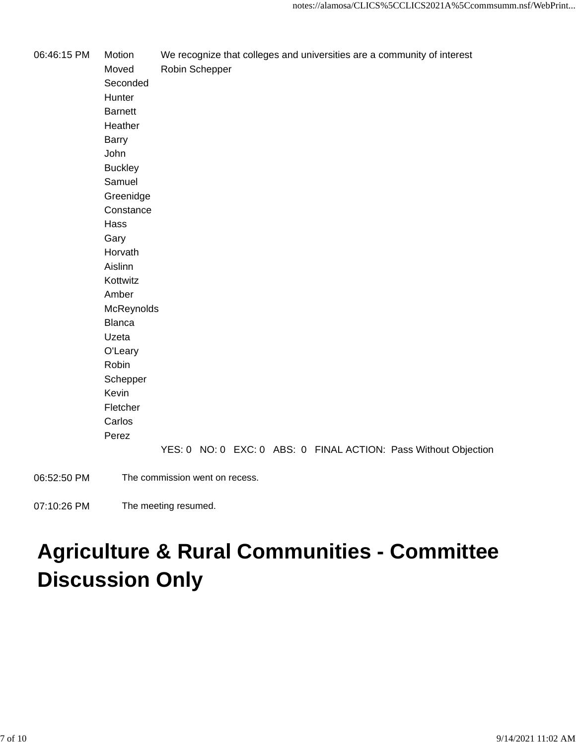06:46:15 PM Motion We recognize that colleges and universities are a community of interest Moved Robin Schepper Seconded **Hunter Barnett Heather** Barry John **Buckley** Samuel Greenidge **Constance** Hass Gary Horvath Aislinn Kottwitz Amber McReynolds Blanca Uzeta O'Leary Robin Schepper Kevin Fletcher Carlos Perez YES: 0 NO: 0 EXC: 0 ABS: 0 FINAL ACTION: Pass Without Objection 06:52:50 PM The commission went on recess.

07:10:26 PM The meeting resumed.

### **Agriculture & Rural Communities - Committee Discussion Only**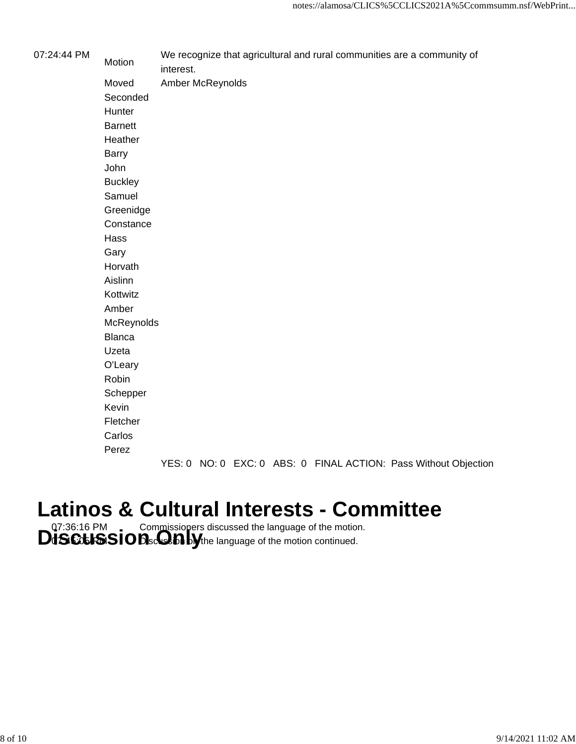| 07:24:44 PM | Motion         | We recognize that agricultural and rural communities are a community of<br>interest. |
|-------------|----------------|--------------------------------------------------------------------------------------|
|             | Moved          | Amber McReynolds                                                                     |
|             | Seconded       |                                                                                      |
|             | Hunter         |                                                                                      |
|             | <b>Barnett</b> |                                                                                      |
|             | Heather        |                                                                                      |
|             | <b>Barry</b>   |                                                                                      |
|             | John           |                                                                                      |
|             | <b>Buckley</b> |                                                                                      |
|             | Samuel         |                                                                                      |
|             | Greenidge      |                                                                                      |
|             | Constance      |                                                                                      |
|             | Hass           |                                                                                      |
|             | Gary           |                                                                                      |
|             | Horvath        |                                                                                      |
|             | Aislinn        |                                                                                      |
|             | Kottwitz       |                                                                                      |
|             | Amber          |                                                                                      |
|             | McReynolds     |                                                                                      |
|             | <b>Blanca</b>  |                                                                                      |
|             | Uzeta          |                                                                                      |
|             | O'Leary        |                                                                                      |
|             | Robin          |                                                                                      |
|             | Schepper       |                                                                                      |
|             | Kevin          |                                                                                      |
|             | Fletcher       |                                                                                      |
|             | Carlos         |                                                                                      |
|             | Perez          |                                                                                      |
|             |                |                                                                                      |

YES: 0 NO: 0 EXC: 0 ABS: 0 FINAL ACTION: Pass Without Objection

### **Latinos & Cultural Interests - Committee**

**DISCUSSION** Commissioners discussed the language of the motion.<br> **DISCUSSION**scorbing the language of the motion continued.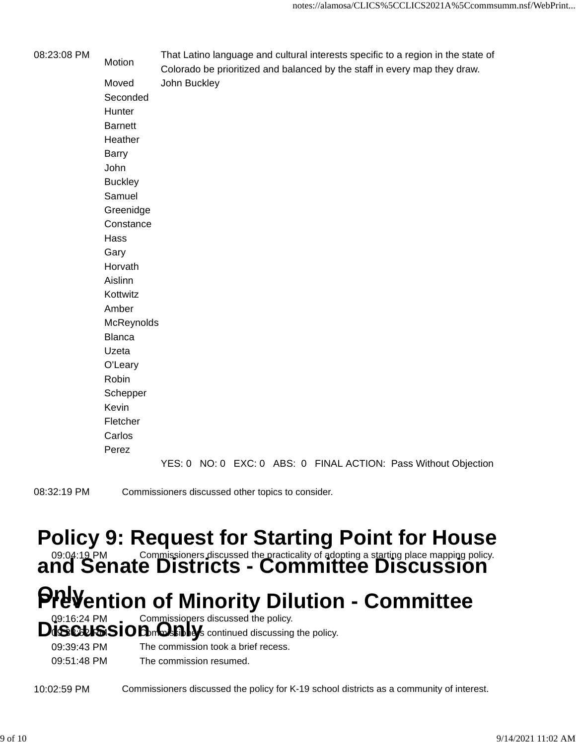| 08:23:08 PM | Motion         | That Latino language and cultural interests specific to a region in the state of<br>Colorado be prioritized and balanced by the staff in every map they draw. |
|-------------|----------------|---------------------------------------------------------------------------------------------------------------------------------------------------------------|
|             | Moved          | John Buckley                                                                                                                                                  |
|             | Seconded       |                                                                                                                                                               |
|             | Hunter         |                                                                                                                                                               |
|             | <b>Barnett</b> |                                                                                                                                                               |
|             | Heather        |                                                                                                                                                               |
|             | Barry          |                                                                                                                                                               |
|             | John           |                                                                                                                                                               |
|             | <b>Buckley</b> |                                                                                                                                                               |
|             | Samuel         |                                                                                                                                                               |
|             | Greenidge      |                                                                                                                                                               |
|             | Constance      |                                                                                                                                                               |
|             | Hass           |                                                                                                                                                               |
|             | Gary           |                                                                                                                                                               |
|             | Horvath        |                                                                                                                                                               |
|             | Aislinn        |                                                                                                                                                               |
|             | Kottwitz       |                                                                                                                                                               |
|             | Amber          |                                                                                                                                                               |
|             | McReynolds     |                                                                                                                                                               |
|             | <b>Blanca</b>  |                                                                                                                                                               |
|             | Uzeta          |                                                                                                                                                               |
|             | O'Leary        |                                                                                                                                                               |
|             | Robin          |                                                                                                                                                               |
|             | Schepper       |                                                                                                                                                               |
|             | Kevin          |                                                                                                                                                               |
|             | Fletcher       |                                                                                                                                                               |
|             | Carlos         |                                                                                                                                                               |
|             | Perez          |                                                                                                                                                               |
|             |                |                                                                                                                                                               |

YES: 0 NO: 0 EXC: 0 ABS: 0 FINAL ACTION: Pass Without Objection

08:32:19 PM Commissioners discussed other topics to consider.

### **Policy 9: Request for Starting Point for House**

**and Senate Districts - Commissioners discussed the practicality of adopting a starting place mapping policy.**<br>**and Senate Districts - Committee Discussion** 

## **PreVention of Minority Dilution - Committee**

**Discussed the policy.**<br> **Disculs COD Discussed the policy.**<br> **Discussing the policy.** 

|             | <b>TISLERISIO IDEDITOSHINGS continued discussing the policy.</b> |
|-------------|------------------------------------------------------------------|
| 09:39:43 PM | The commission took a brief recess.                              |
| 09:51:48 PM | The commission resumed.                                          |

10:02:59 PM Commissioners discussed the policy for K-19 school districts as a community of interest.